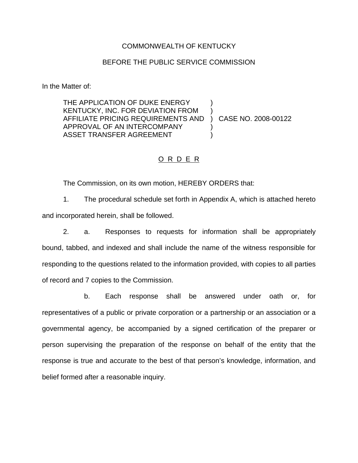#### COMMONWEALTH OF KENTUCKY

#### BEFORE THE PUBLIC SERVICE COMMISSION

In the Matter of:

THE APPLICATION OF DUKE ENERGY KENTUCKY, INC. FOR DEVIATION FROM ) AFFILIATE PRICING REQUIREMENTS AND ) CASE NO. 2008-00122 APPROVAL OF AN INTERCOMPANY ASSET TRANSFER AGREEMENT

### O R D E R

The Commission, on its own motion, HEREBY ORDERS that:

1. The procedural schedule set forth in Appendix A, which is attached hereto and incorporated herein, shall be followed.

2. a. Responses to requests for information shall be appropriately bound, tabbed, and indexed and shall include the name of the witness responsible for responding to the questions related to the information provided, with copies to all parties of record and 7 copies to the Commission.

b. Each response shall be answered under oath or, for representatives of a public or private corporation or a partnership or an association or a governmental agency, be accompanied by a signed certification of the preparer or person supervising the preparation of the response on behalf of the entity that the response is true and accurate to the best of that person's knowledge, information, and belief formed after a reasonable inquiry.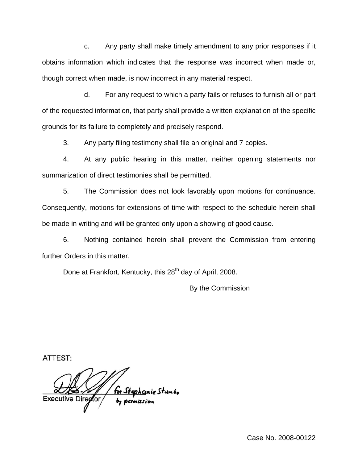c. Any party shall make timely amendment to any prior responses if it obtains information which indicates that the response was incorrect when made or, though correct when made, is now incorrect in any material respect.

d. For any request to which a party fails or refuses to furnish all or part of the requested information, that party shall provide a written explanation of the specific grounds for its failure to completely and precisely respond.

3. Any party filing testimony shall file an original and 7 copies.

4. At any public hearing in this matter, neither opening statements nor summarization of direct testimonies shall be permitted.

5. The Commission does not look favorably upon motions for continuance. Consequently, motions for extensions of time with respect to the schedule herein shall be made in writing and will be granted only upon a showing of good cause.

6. Nothing contained herein shall prevent the Commission from entering further Orders in this matter.

Done at Frankfort, Kentucky, this 28<sup>th</sup> day of April, 2008.

By the Commission

ATTEST:

hanie Stumbo **Executive Director**